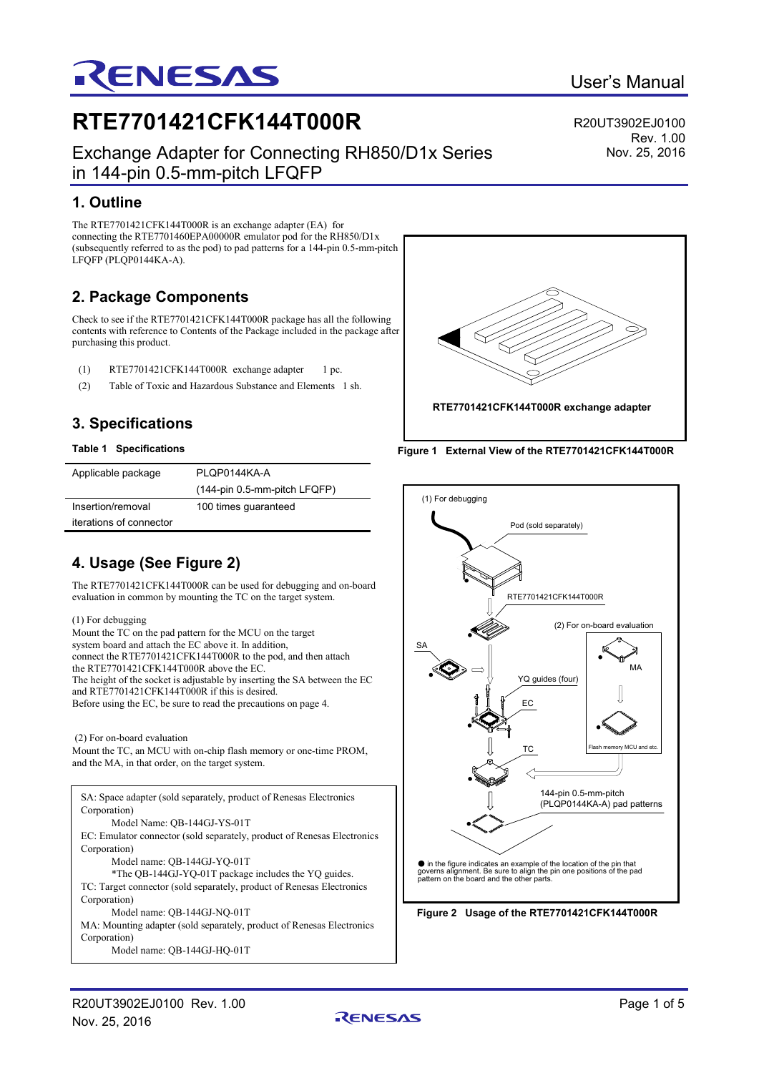# Exchange Adapter for Connecting RH850/D1x Series in 144-pin 0.5-mm-pitch LFQFP

# **1. Outline**

The RTE7701421CFK144T000R is an exchange adapter (EA) for connecting the RTE7701460EPA00000R emulator pod for the RH850/D1x (subsequently referred to as the pod) to pad patterns for a 144-pin 0.5-mm-pitch LFQFP (PLQP0144KA-A).

**RTE7701421CFK144T000R**

RENESAS

# **2. Package Components**

Check to see if the RTE7701421CFK144T000R package has all the following contents with reference to Contents of the Package included in the package after purchasing this product.

- (1) RTE7701421CFK144T000R exchange adapter 1 pc.
- (2) Table of Toxic and Hazardous Substance and Elements 1 sh.

# **3. Specifications**

### **Table 1 Specifications**

| Applicable package      | PLOP0144KA-A                 |
|-------------------------|------------------------------|
|                         | (144-pin 0.5-mm-pitch LFQFP) |
| Insertion/removal       | 100 times guaranteed         |
| iterations of connector |                              |

# **4. Usage (See Figure 2)**

The RTE7701421CFK144T000R can be used for debugging and on-board evaluation in common by mounting the TC on the target system.

### (1) For debugging

Mount the TC on the pad pattern for the MCU on the target system board and attach the EC above it. In addition, connect the RTE7701421CFK144T000R to the pod, and then attach the RTE7701421CFK144T000R above the EC. The height of the socket is adjustable by inserting the SA between the EC and RTE7701421CFK144T000R if this is desired. Before using the EC, be sure to read the precautions on page 4.

### (2) For on-board evaluation

Mount the TC, an MCU with on-chip flash memory or one-time PROM, and the MA, in that order, on the target system.

SA: Space adapter (sold separately, product of Renesas Electronics Corporation) Model Name: QB-144GJ-YS-01T EC: Emulator connector (sold separately, product of Renesas Electronics Corporation) Model name: QB-144GJ-YQ-01T \*The QB-144GJ-YQ-01T package includes the YQ guides. TC: Target connector (sold separately, product of Renesas Electronics Corporation) Model name: QB-144GJ-NQ-01T MA: Mounting adapter (sold separately, product of Renesas Electronics Corporation) Model name: QB-144GJ-HQ-01T









R20UT3902EJ0100

Rev. 1.00 Nov. 25, 2016

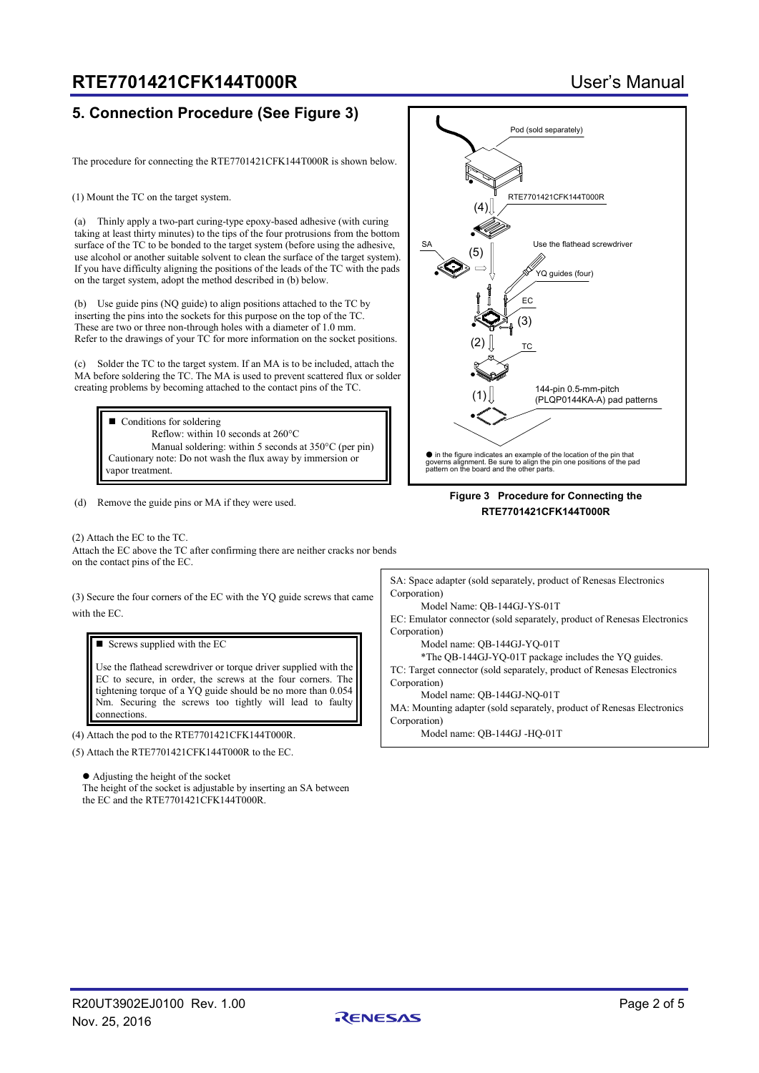# **RTE7701421CFK144T000R** User's Manual

## **5. Connection Procedure (See Figure 3)**

The procedure for connecting the RTE7701421CFK144T000R is shown below.

(1) Mount the TC on the target system.

(a) Thinly apply a two-part curing-type epoxy-based adhesive (with curing taking at least thirty minutes) to the tips of the four protrusions from the bottom surface of the TC to be bonded to the target system (before using the adhesive, use alcohol or another suitable solvent to clean the surface of the target system). If you have difficulty aligning the positions of the leads of the TC with the pads on the target system, adopt the method described in (b) below.

(b) Use guide pins (NQ guide) to align positions attached to the TC by inserting the pins into the sockets for this purpose on the top of the TC. These are two or three non-through holes with a diameter of 1.0 mm. Refer to the drawings of your TC for more information on the socket positions.

(c) Solder the TC to the target system. If an MA is to be included, attach the MA before soldering the TC. The MA is used to prevent scattered flux or solder creating problems by becoming attached to the contact pins of the TC.

■ Conditions for soldering Reflow: within 10 seconds at 260°C Manual soldering: within 5 seconds at 350°C (per pin) Cautionary note: Do not wash the flux away by immersion or vapor treatment.

(d) Remove the guide pins or MA if they were used.

(2) Attach the EC to the TC. Attach the EC above the TC after confirming there are neither cracks nor bends on the contact pins of the EC.

(3) Secure the four corners of the EC with the YQ guide screws that came with the EC.

 $\blacksquare$  Screws supplied with the EC

Use the flathead screwdriver or torque driver supplied with the EC to secure, in order, the screws at the four corners. The tightening torque of a YQ guide should be no more than 0.054 Nm. Securing the screws too tightly will lead to faulty connections.

(4) Attach the pod to the RTE7701421CFK144T000R.

(5) Attach the RTE7701421CFK144T000R to the EC.

 Adjusting the height of the socket The height of the socket is adjustable by inserting an SA between the EC and the RTE7701421CFK144T000R.



### **Figure 3 Procedure for Connecting the RTE7701421CFK144T000R**

SA: Space adapter (sold separately, product of Renesas Electronics Corporation)

Model Name: QB-144GJ-YS-01T

EC: Emulator connector (sold separately, product of Renesas Electronics Corporation)

Model name: QB-144GJ-YQ-01T

\*The QB-144GJ-YQ-01T package includes the YQ guides. TC: Target connector (sold separately, product of Renesas Electronics Corporation)

Model name: QB-144GJ-NQ-01T

MA: Mounting adapter (sold separately, product of Renesas Electronics Corporation)

Model name: QB-144GJ -HQ-01T

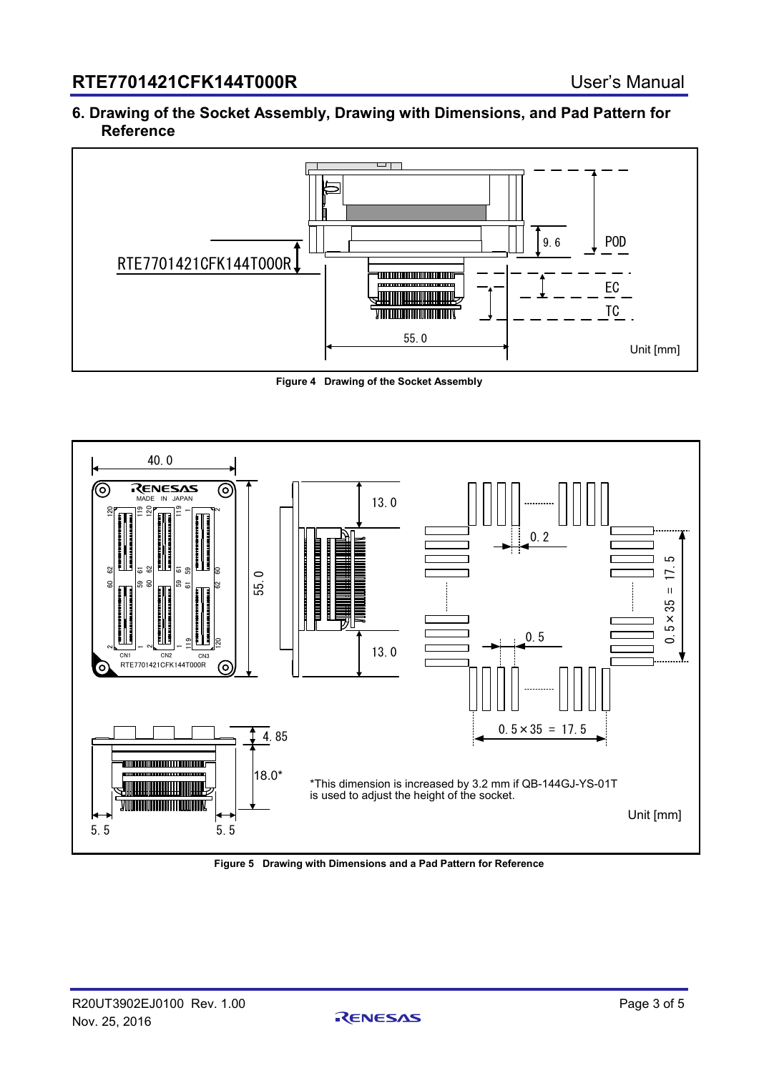## **6. Drawing of the Socket Assembly, Drawing with Dimensions, and Pad Pattern for Reference**



**Figure 4 Drawing of the Socket Assembly**



**Figure 5 Drawing with Dimensions and a Pad Pattern for Reference**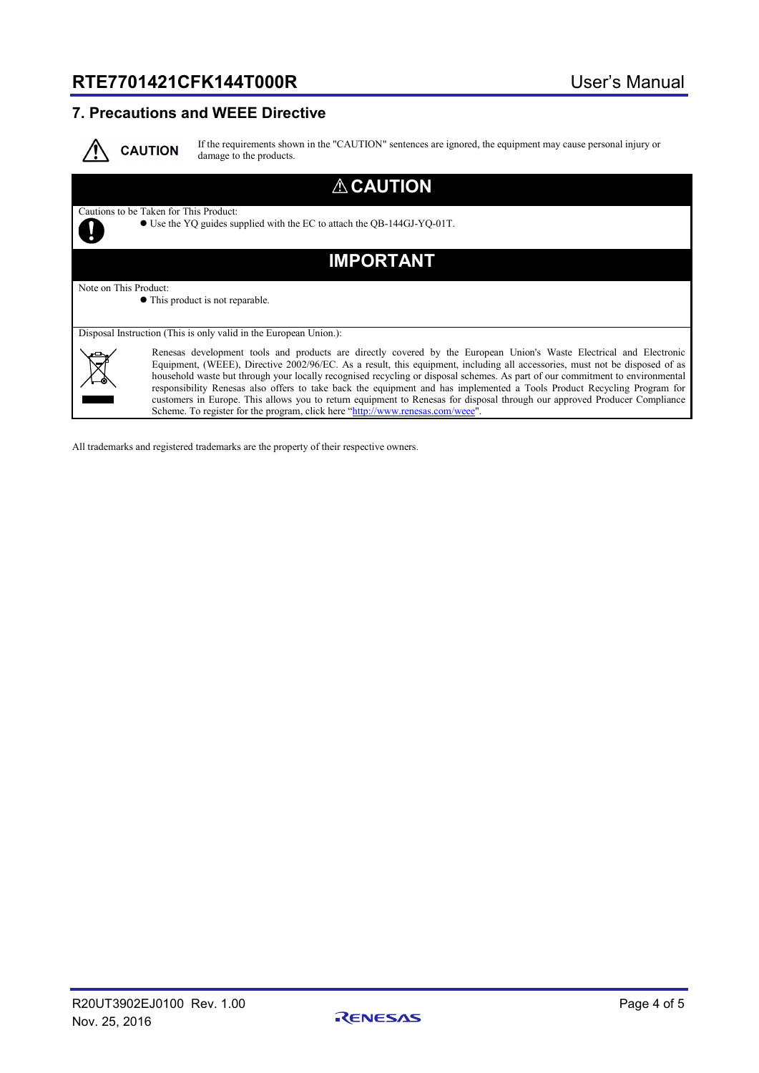# **RTE7701421CFK144T000R** User's Manual

## **7. Precautions and WEEE Directive**



If the requirements shown in the "CAUTION" sentences are ignored, the equipment may cause personal injury or damage to the products.

## **CAUTION** Cautions to be Taken for This Product: Use the YQ guides supplied with the EC to attach the QB-144GJ-YQ-01T. y **IMPORTANT** Note on This Product: This product is not reparable. Disposal Instruction (This is only valid in the European Union.): Renesas development tools and products are directly covered by the European Union's Waste Electrical and Electronic Equipment, (WEEE), Directive 2002/96/EC. As a result, this equipment, including all accessories, must not be disposed of as household waste but through your locally recognised recycling or disposal schemes. As part of our commitment to environmental responsibility Renesas also offers to take back the equipment and has implemented a Tools Product Recycling Program for customers in Europe. This allows you to return equipment to Renesas for disposal through our approved Producer Compliance Scheme. To register for the program, click here ["http://www.renesas.com/weee"](http://www.renesas.com/weee)

All trademarks and registered trademarks are the property of their respective owners.